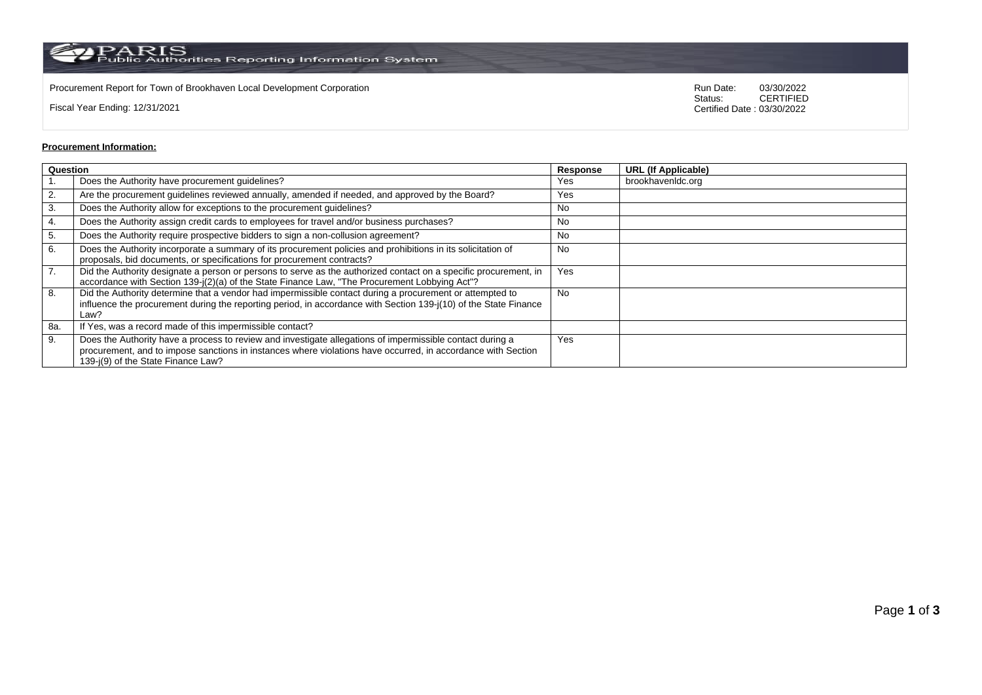$\rm PARS$  Public Authorities Reporting Information System

Procurement Report for Town of Brookhaven Local Development Corporation **Run Date:** 03/30/2022<br>Status: CERTIFIED

Fiscal Year Ending: 12/31/2021

CERTIFIED Certified Date : 03/30/2022

## **Procurement Information:**

| Question |                                                                                                                                                                                                                                                                 | Response  | <b>URL (If Applicable)</b> |
|----------|-----------------------------------------------------------------------------------------------------------------------------------------------------------------------------------------------------------------------------------------------------------------|-----------|----------------------------|
|          | Does the Authority have procurement guidelines?                                                                                                                                                                                                                 | Yes       | brookhavenIdc.org          |
| 2.       | Are the procurement guidelines reviewed annually, amended if needed, and approved by the Board?                                                                                                                                                                 | Yes       |                            |
| 3.       | Does the Authority allow for exceptions to the procurement guidelines?                                                                                                                                                                                          | No        |                            |
| 4.       | Does the Authority assign credit cards to employees for travel and/or business purchases?                                                                                                                                                                       | No        |                            |
| 5.       | Does the Authority require prospective bidders to sign a non-collusion agreement?                                                                                                                                                                               | No        |                            |
| 6.       | Does the Authority incorporate a summary of its procurement policies and prohibitions in its solicitation of<br>proposals, bid documents, or specifications for procurement contracts?                                                                          | <b>No</b> |                            |
| 7.       | Did the Authority designate a person or persons to serve as the authorized contact on a specific procurement, in<br>accordance with Section 139-j(2)(a) of the State Finance Law, "The Procurement Lobbying Act"?                                               | Yes       |                            |
| 8.       | Did the Authority determine that a vendor had impermissible contact during a procurement or attempted to<br>influence the procurement during the reporting period, in accordance with Section 139-j(10) of the State Finance<br>Law?                            | <b>No</b> |                            |
| 8a.      | If Yes, was a record made of this impermissible contact?                                                                                                                                                                                                        |           |                            |
| 9.       | Does the Authority have a process to review and investigate allegations of impermissible contact during a<br>procurement, and to impose sanctions in instances where violations have occurred, in accordance with Section<br>139-i(9) of the State Finance Law? | Yes       |                            |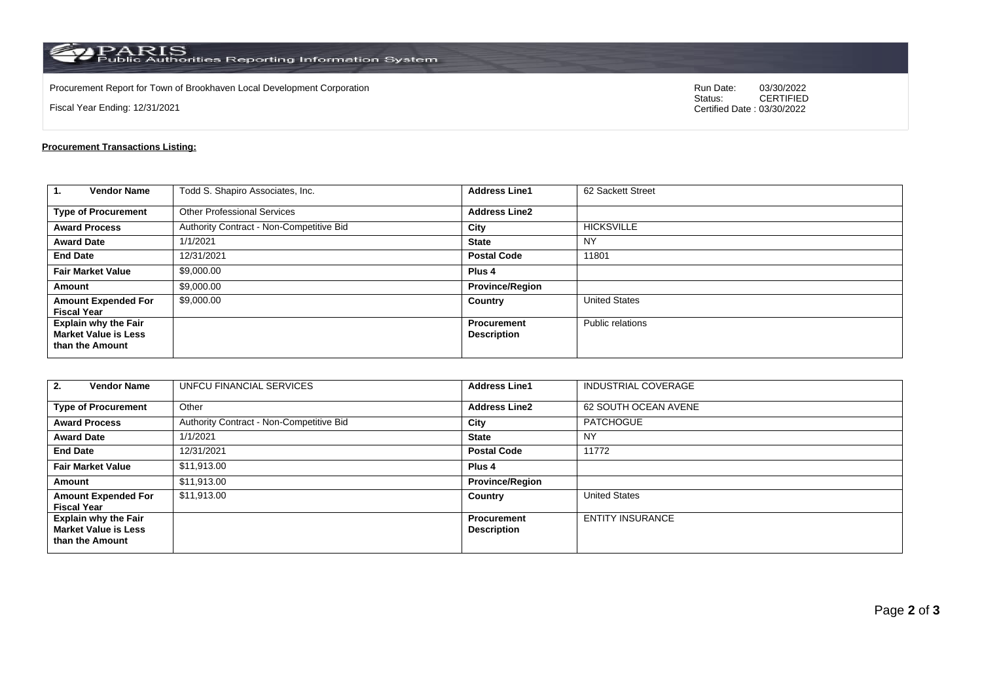$\rm PARS$  PARIS<br>Public Authorities Reporting Information System

Procurement Report for Town of Brookhaven Local Development Corporation **Run Date:** 03/30/2022<br>Status: CERTIFIED

Fiscal Year Ending: 12/31/2021

CERTIFIED Certified Date : 03/30/2022

## **Procurement Transactions Listing:**

| $\mathbf{1}$<br><b>Vendor Name</b>                                            | Todd S. Shapiro Associates, Inc.         | <b>Address Line1</b>              | 62 Sackett Street    |
|-------------------------------------------------------------------------------|------------------------------------------|-----------------------------------|----------------------|
| <b>Type of Procurement</b>                                                    | <b>Other Professional Services</b>       | <b>Address Line2</b>              |                      |
| <b>Award Process</b>                                                          | Authority Contract - Non-Competitive Bid | City                              | <b>HICKSVILLE</b>    |
| <b>Award Date</b>                                                             | 1/1/2021                                 | <b>State</b>                      | <b>NY</b>            |
| <b>End Date</b>                                                               | 12/31/2021                               | <b>Postal Code</b>                | 11801                |
| <b>Fair Market Value</b>                                                      | \$9,000.00                               | Plus <sub>4</sub>                 |                      |
| Amount                                                                        | \$9,000.00                               | <b>Province/Region</b>            |                      |
| <b>Amount Expended For</b><br><b>Fiscal Year</b>                              | \$9,000.00                               | Country                           | <b>United States</b> |
| <b>Explain why the Fair</b><br><b>Market Value is Less</b><br>than the Amount |                                          | Procurement<br><b>Description</b> | Public relations     |

| <b>Vendor Name</b><br>2.                                                      | UNFCU FINANCIAL SERVICES                 | <b>Address Line1</b>                     | <b>INDUSTRIAL COVERAGE</b> |
|-------------------------------------------------------------------------------|------------------------------------------|------------------------------------------|----------------------------|
| <b>Type of Procurement</b>                                                    | Other                                    | <b>Address Line2</b>                     | 62 SOUTH OCEAN AVENE       |
| <b>Award Process</b>                                                          | Authority Contract - Non-Competitive Bid | City                                     | <b>PATCHOGUE</b>           |
| <b>Award Date</b>                                                             | 1/1/2021                                 | <b>State</b>                             | NY                         |
| <b>End Date</b>                                                               | 12/31/2021                               | <b>Postal Code</b>                       | 11772                      |
| <b>Fair Market Value</b>                                                      | \$11,913.00                              | Plus <sub>4</sub>                        |                            |
| Amount                                                                        | \$11,913.00                              | <b>Province/Region</b>                   |                            |
| <b>Amount Expended For</b><br><b>Fiscal Year</b>                              | \$11,913.00                              | Country                                  | <b>United States</b>       |
| <b>Explain why the Fair</b><br><b>Market Value is Less</b><br>than the Amount |                                          | <b>Procurement</b><br><b>Description</b> | <b>ENTITY INSURANCE</b>    |